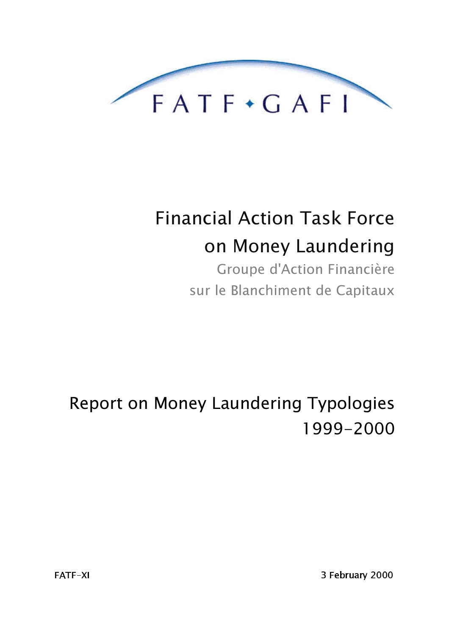

# **Financial Action Task Force** on Money Laundering

Groupe d'Action Financière sur le Blanchiment de Capitaux

Report on Money Laundering Typologies 1999-2000

3 February 2000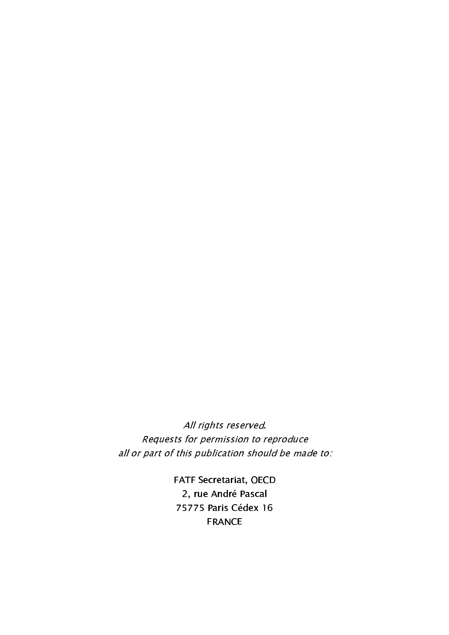All rights reserved. Requests for permission to reproduce all or part of this publication should be made to:

> FATF Secretariat, OECD 2, rue André Pascal 75775 Paris Cédex 16 FRANCE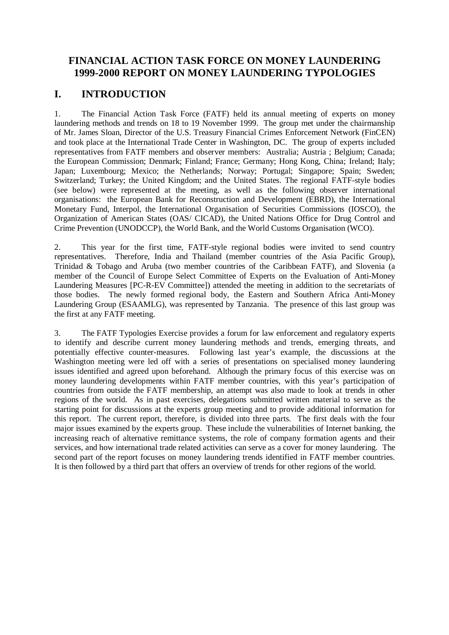# **FINANCIAL ACTION TASK FORCE ON MONEY LAUNDERING 1999-2000 REPORT ON MONEY LAUNDERING TYPOLOGIES**

## **I. INTRODUCTION**

1. The Financial Action Task Force (FATF) held its annual meeting of experts on money laundering methods and trends on 18 to 19 November 1999. The group met under the chairmanship of Mr. James Sloan, Director of the U.S. Treasury Financial Crimes Enforcement Network (FinCEN) and took place at the International Trade Center in Washington, DC. The group of experts included representatives from FATF members and observer members: Australia; Austria ; Belgium; Canada; the European Commission; Denmark; Finland; France; Germany; Hong Kong, China; Ireland; Italy; Japan; Luxembourg; Mexico; the Netherlands; Norway; Portugal; Singapore; Spain; Sweden; Switzerland; Turkey; the United Kingdom; and the United States. The regional FATF-style bodies (see below) were represented at the meeting, as well as the following observer international organisations: the European Bank for Reconstruction and Development (EBRD), the International Monetary Fund, Interpol, the International Organisation of Securities Commissions (IOSCO), the Organization of American States (OAS/ CICAD), the United Nations Office for Drug Control and Crime Prevention (UNODCCP), the World Bank, and the World Customs Organisation (WCO).

2. This year for the first time, FATF-style regional bodies were invited to send country representatives. Therefore, India and Thailand (member countries of the Asia Pacific Group), Trinidad & Tobago and Aruba (two member countries of the Caribbean FATF), and Slovenia (a member of the Council of Europe Select Committee of Experts on the Evaluation of Anti-Money Laundering Measures [PC-R-EV Committee]) attended the meeting in addition to the secretariats of those bodies. The newly formed regional body, the Eastern and Southern Africa Anti-Money Laundering Group (ESAAMLG), was represented by Tanzania. The presence of this last group was the first at any FATF meeting.

3. The FATF Typologies Exercise provides a forum for law enforcement and regulatory experts to identify and describe current money laundering methods and trends, emerging threats, and potentially effective counter-measures. Following last year's example, the discussions at the Washington meeting were led off with a series of presentations on specialised money laundering issues identified and agreed upon beforehand. Although the primary focus of this exercise was on money laundering developments within FATF member countries, with this year's participation of countries from outside the FATF membership, an attempt was also made to look at trends in other regions of the world. As in past exercises, delegations submitted written material to serve as the starting point for discussions at the experts group meeting and to provide additional information for this report. The current report, therefore, is divided into three parts. The first deals with the four major issues examined by the experts group. These include the vulnerabilities of Internet banking, the increasing reach of alternative remittance systems, the role of company formation agents and their services, and how international trade related activities can serve as a cover for money laundering. The second part of the report focuses on money laundering trends identified in FATF member countries. It is then followed by a third part that offers an overview of trends for other regions of the world.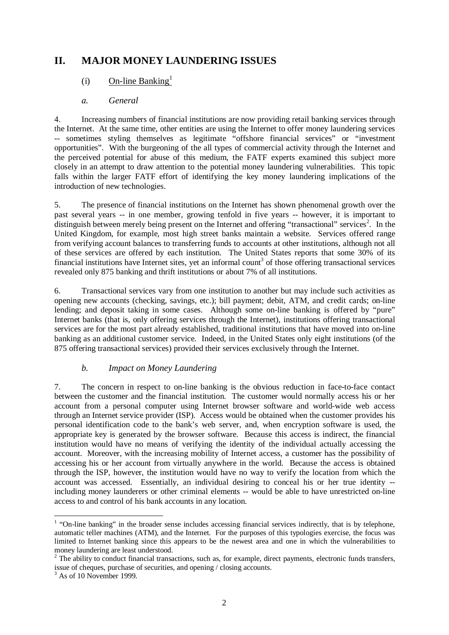# **II. MAJOR MONEY LAUNDERING ISSUES**

## $(i)$  On-line Banking<sup>1</sup>

## *a. General*

4. Increasing numbers of financial institutions are now providing retail banking services through the Internet. At the same time, other entities are using the Internet to offer money laundering services -- sometimes styling themselves as legitimate "offshore financial services" or "investment opportunities". With the burgeoning of the all types of commercial activity through the Internet and the perceived potential for abuse of this medium, the FATF experts examined this subject more closely in an attempt to draw attention to the potential money laundering vulnerabilities. This topic falls within the larger FATF effort of identifying the key money laundering implications of the introduction of new technologies.

5. The presence of financial institutions on the Internet has shown phenomenal growth over the past several years -- in one member, growing tenfold in five years -- however, it is important to distinguish between merely being present on the Internet and offering "transactional" services<sup>2</sup>. In the United Kingdom, for example, most high street banks maintain a website. Services offered range from verifying account balances to transferring funds to accounts at other institutions, although not all of these services are offered by each institution. The United States reports that some 30% of its financial institutions have Internet sites, yet an informal count<sup>3</sup> of those offering transactional services revealed only 875 banking and thrift institutions or about 7% of all institutions.

6. Transactional services vary from one institution to another but may include such activities as opening new accounts (checking, savings, etc.); bill payment; debit, ATM, and credit cards; on-line lending; and deposit taking in some cases. Although some on-line banking is offered by "pure" Internet banks (that is, only offering services through the Internet), institutions offering transactional services are for the most part already established, traditional institutions that have moved into on-line banking as an additional customer service. Indeed, in the United States only eight institutions (of the 875 offering transactional services) provided their services exclusively through the Internet.

## *b. Impact on Money Laundering*

7. The concern in respect to on-line banking is the obvious reduction in face-to-face contact between the customer and the financial institution. The customer would normally access his or her account from a personal computer using Internet browser software and world-wide web access through an Internet service provider (ISP). Access would be obtained when the customer provides his personal identification code to the bank's web server, and, when encryption software is used, the appropriate key is generated by the browser software. Because this access is indirect, the financial institution would have no means of verifying the identity of the individual actually accessing the account. Moreover, with the increasing mobility of Internet access, a customer has the possibility of accessing his or her account from virtually anywhere in the world. Because the access is obtained through the ISP, however, the institution would have no way to verify the location from which the account was accessed. Essentially, an individual desiring to conceal his or her true identity - including money launderers or other criminal elements -- would be able to have unrestricted on-line access to and control of his bank accounts in any location.

 $\overline{a}$ 

 $1$  "On-line banking" in the broader sense includes accessing financial services indirectly, that is by telephone, automatic teller machines (ATM), and the Internet. For the purposes of this typologies exercise, the focus was limited to Internet banking since this appears to be the newest area and one in which the vulnerabilities to money laundering are least understood.

 $2^2$  The ability to conduct financial transactions, such as, for example, direct payments, electronic funds transfers, issue of cheques, purchase of securities, and opening / closing accounts. 3 As of 10 November 1999.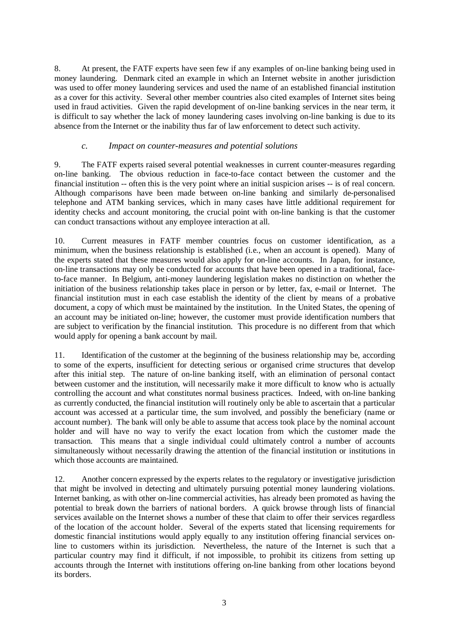8. At present, the FATF experts have seen few if any examples of on-line banking being used in money laundering. Denmark cited an example in which an Internet website in another jurisdiction was used to offer money laundering services and used the name of an established financial institution as a cover for this activity. Several other member countries also cited examples of Internet sites being used in fraud activities. Given the rapid development of on-line banking services in the near term, it is difficult to say whether the lack of money laundering cases involving on-line banking is due to its absence from the Internet or the inability thus far of law enforcement to detect such activity.

## *c. Impact on counter-measures and potential solutions*

9. The FATF experts raised several potential weaknesses in current counter-measures regarding on-line banking. The obvious reduction in face-to-face contact between the customer and the financial institution -- often this is the very point where an initial suspicion arises -- is of real concern. Although comparisons have been made between on-line banking and similarly de-personalised telephone and ATM banking services, which in many cases have little additional requirement for identity checks and account monitoring, the crucial point with on-line banking is that the customer can conduct transactions without any employee interaction at all.

10. Current measures in FATF member countries focus on customer identification, as a minimum, when the business relationship is established (i.e., when an account is opened). Many of the experts stated that these measures would also apply for on-line accounts. In Japan, for instance, on-line transactions may only be conducted for accounts that have been opened in a traditional, faceto-face manner. In Belgium, anti-money laundering legislation makes no distinction on whether the initiation of the business relationship takes place in person or by letter, fax, e-mail or Internet. The financial institution must in each case establish the identity of the client by means of a probative document, a copy of which must be maintained by the institution. In the United States, the opening of an account may be initiated on-line; however, the customer must provide identification numbers that are subject to verification by the financial institution. This procedure is no different from that which would apply for opening a bank account by mail.

11. Identification of the customer at the beginning of the business relationship may be, according to some of the experts, insufficient for detecting serious or organised crime structures that develop after this initial step. The nature of on-line banking itself, with an elimination of personal contact between customer and the institution, will necessarily make it more difficult to know who is actually controlling the account and what constitutes normal business practices. Indeed, with on-line banking as currently conducted, the financial institution will routinely only be able to ascertain that a particular account was accessed at a particular time, the sum involved, and possibly the beneficiary (name or account number). The bank will only be able to assume that access took place by the nominal account holder and will have no way to verify the exact location from which the customer made the transaction. This means that a single individual could ultimately control a number of accounts simultaneously without necessarily drawing the attention of the financial institution or institutions in which those accounts are maintained.

12. Another concern expressed by the experts relates to the regulatory or investigative jurisdiction that might be involved in detecting and ultimately pursuing potential money laundering violations. Internet banking, as with other on-line commercial activities, has already been promoted as having the potential to break down the barriers of national borders. A quick browse through lists of financial services available on the Internet shows a number of these that claim to offer their services regardless of the location of the account holder. Several of the experts stated that licensing requirements for domestic financial institutions would apply equally to any institution offering financial services online to customers within its jurisdiction. Nevertheless, the nature of the Internet is such that a particular country may find it difficult, if not impossible, to prohibit its citizens from setting up accounts through the Internet with institutions offering on-line banking from other locations beyond its borders.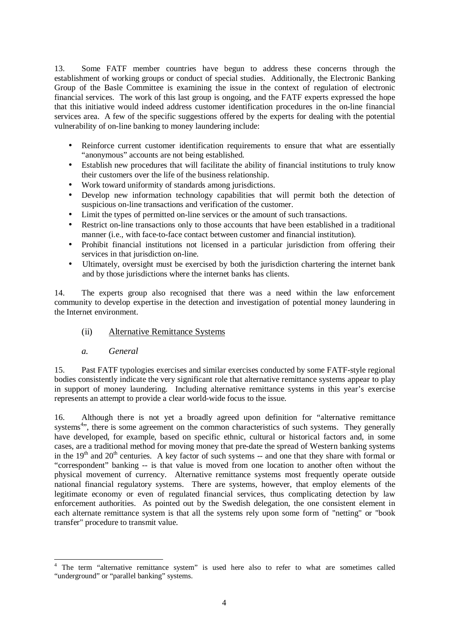13. Some FATF member countries have begun to address these concerns through the establishment of working groups or conduct of special studies. Additionally, the Electronic Banking Group of the Basle Committee is examining the issue in the context of regulation of electronic financial services. The work of this last group is ongoing, and the FATF experts expressed the hope that this initiative would indeed address customer identification procedures in the on-line financial services area. A few of the specific suggestions offered by the experts for dealing with the potential vulnerability of on-line banking to money laundering include:

- Reinforce current customer identification requirements to ensure that what are essentially "anonymous" accounts are not being established.
- Establish new procedures that will facilitate the ability of financial institutions to truly know their customers over the life of the business relationship.
- Work toward uniformity of standards among jurisdictions.
- Develop new information technology capabilities that will permit both the detection of suspicious on-line transactions and verification of the customer.
- Limit the types of permitted on-line services or the amount of such transactions.
- Restrict on-line transactions only to those accounts that have been established in a traditional manner (i.e., with face-to-face contact between customer and financial institution).
- Prohibit financial institutions not licensed in a particular jurisdiction from offering their services in that jurisdiction on-line.
- Ultimately, oversight must be exercised by both the jurisdiction chartering the internet bank and by those jurisdictions where the internet banks has clients.

14. The experts group also recognised that there was a need within the law enforcement community to develop expertise in the detection and investigation of potential money laundering in the Internet environment.

- (ii) Alternative Remittance Systems
- *a. General*

15. Past FATF typologies exercises and similar exercises conducted by some FATF-style regional bodies consistently indicate the very significant role that alternative remittance systems appear to play in support of money laundering. Including alternative remittance systems in this year's exercise represents an attempt to provide a clear world-wide focus to the issue.

16. Although there is not yet a broadly agreed upon definition for "alternative remittance systems<sup>4</sup>", there is some agreement on the common characteristics of such systems. They generally have developed, for example, based on specific ethnic, cultural or historical factors and, in some cases, are a traditional method for moving money that pre-date the spread of Western banking systems in the  $19<sup>th</sup>$  and  $20<sup>th</sup>$  centuries. A key factor of such systems -- and one that they share with formal or "correspondent" banking -- is that value is moved from one location to another often without the physical movement of currency. Alternative remittance systems most frequently operate outside national financial regulatory systems. There are systems, however, that employ elements of the legitimate economy or even of regulated financial services, thus complicating detection by law enforcement authorities. As pointed out by the Swedish delegation, the one consistent element in each alternate remittance system is that all the systems rely upon some form of "netting" or "book transfer" procedure to transmit value.

<sup>&</sup>lt;sup>4</sup> The term "alternative remittance system" is used here also to refer to what are sometimes called "underground" or "parallel banking" systems.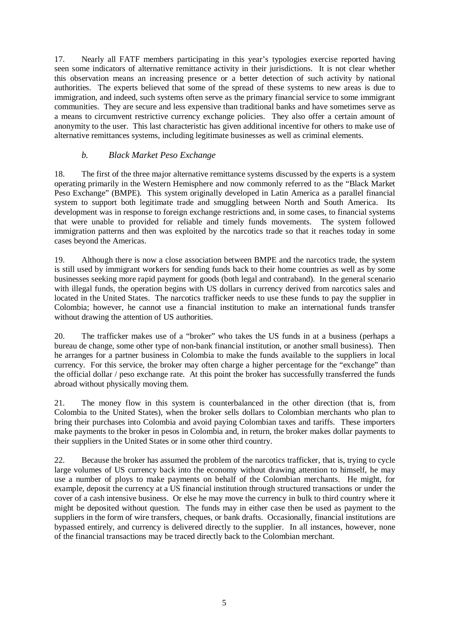17. Nearly all FATF members participating in this year's typologies exercise reported having seen some indicators of alternative remittance activity in their jurisdictions. It is not clear whether this observation means an increasing presence or a better detection of such activity by national authorities. The experts believed that some of the spread of these systems to new areas is due to immigration, and indeed, such systems often serve as the primary financial service to some immigrant communities. They are secure and less expensive than traditional banks and have sometimes serve as a means to circumvent restrictive currency exchange policies. They also offer a certain amount of anonymity to the user. This last characteristic has given additional incentive for others to make use of alternative remittances systems, including legitimate businesses as well as criminal elements.

## *b. Black Market Peso Exchange*

18. The first of the three major alternative remittance systems discussed by the experts is a system operating primarily in the Western Hemisphere and now commonly referred to as the "Black Market Peso Exchange" (BMPE). This system originally developed in Latin America as a parallel financial system to support both legitimate trade and smuggling between North and South America. Its development was in response to foreign exchange restrictions and, in some cases, to financial systems that were unable to provided for reliable and timely funds movements. The system followed immigration patterns and then was exploited by the narcotics trade so that it reaches today in some cases beyond the Americas.

19. Although there is now a close association between BMPE and the narcotics trade, the system is still used by immigrant workers for sending funds back to their home countries as well as by some businesses seeking more rapid payment for goods (both legal and contraband). In the general scenario with illegal funds, the operation begins with US dollars in currency derived from narcotics sales and located in the United States. The narcotics trafficker needs to use these funds to pay the supplier in Colombia; however, he cannot use a financial institution to make an international funds transfer without drawing the attention of US authorities.

20. The trafficker makes use of a "broker" who takes the US funds in at a business (perhaps a bureau de change, some other type of non-bank financial institution, or another small business). Then he arranges for a partner business in Colombia to make the funds available to the suppliers in local currency. For this service, the broker may often charge a higher percentage for the "exchange" than the official dollar / peso exchange rate. At this point the broker has successfully transferred the funds abroad without physically moving them.

21. The money flow in this system is counterbalanced in the other direction (that is, from Colombia to the United States), when the broker sells dollars to Colombian merchants who plan to bring their purchases into Colombia and avoid paying Colombian taxes and tariffs. These importers make payments to the broker in pesos in Colombia and, in return, the broker makes dollar payments to their suppliers in the United States or in some other third country.

22. Because the broker has assumed the problem of the narcotics trafficker, that is, trying to cycle large volumes of US currency back into the economy without drawing attention to himself, he may use a number of ploys to make payments on behalf of the Colombian merchants. He might, for example, deposit the currency at a US financial institution through structured transactions or under the cover of a cash intensive business. Or else he may move the currency in bulk to third country where it might be deposited without question. The funds may in either case then be used as payment to the suppliers in the form of wire transfers, cheques, or bank drafts. Occasionally, financial institutions are bypassed entirely, and currency is delivered directly to the supplier. In all instances, however, none of the financial transactions may be traced directly back to the Colombian merchant.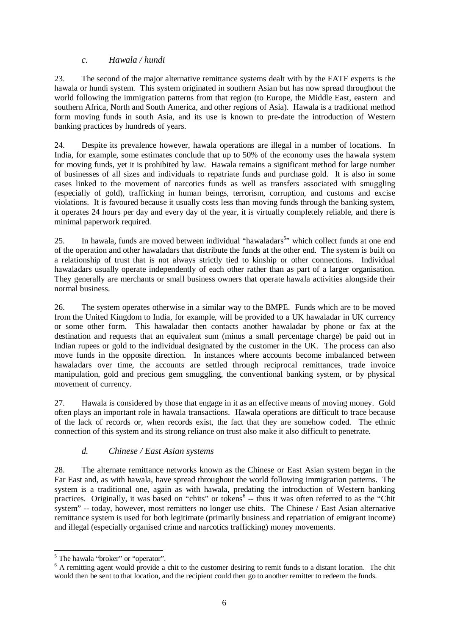## *c. Hawala / hundi*

23. The second of the major alternative remittance systems dealt with by the FATF experts is the hawala or hundi system. This system originated in southern Asian but has now spread throughout the world following the immigration patterns from that region (to Europe, the Middle East, eastern and southern Africa, North and South America, and other regions of Asia). Hawala is a traditional method form moving funds in south Asia, and its use is known to pre-date the introduction of Western banking practices by hundreds of years.

24. Despite its prevalence however, hawala operations are illegal in a number of locations. In India, for example, some estimates conclude that up to 50% of the economy uses the hawala system for moving funds, yet it is prohibited by law. Hawala remains a significant method for large number of businesses of all sizes and individuals to repatriate funds and purchase gold. It is also in some cases linked to the movement of narcotics funds as well as transfers associated with smuggling (especially of gold), trafficking in human beings, terrorism, corruption, and customs and excise violations. It is favoured because it usually costs less than moving funds through the banking system, it operates 24 hours per day and every day of the year, it is virtually completely reliable, and there is minimal paperwork required.

25. In hawala, funds are moved between individual "hawaladars<sup>5</sup>" which collect funds at one end of the operation and other hawaladars that distribute the funds at the other end. The system is built on a relationship of trust that is not always strictly tied to kinship or other connections. Individual hawaladars usually operate independently of each other rather than as part of a larger organisation. They generally are merchants or small business owners that operate hawala activities alongside their normal business.

26. The system operates otherwise in a similar way to the BMPE. Funds which are to be moved from the United Kingdom to India, for example, will be provided to a UK hawaladar in UK currency or some other form. This hawaladar then contacts another hawaladar by phone or fax at the destination and requests that an equivalent sum (minus a small percentage charge) be paid out in Indian rupees or gold to the individual designated by the customer in the UK. The process can also move funds in the opposite direction. In instances where accounts become imbalanced between hawaladars over time, the accounts are settled through reciprocal remittances, trade invoice manipulation, gold and precious gem smuggling, the conventional banking system, or by physical movement of currency.

27. Hawala is considered by those that engage in it as an effective means of moving money. Gold often plays an important role in hawala transactions. Hawala operations are difficult to trace because of the lack of records or, when records exist, the fact that they are somehow coded. The ethnic connection of this system and its strong reliance on trust also make it also difficult to penetrate.

## *d. Chinese / East Asian systems*

28. The alternate remittance networks known as the Chinese or East Asian system began in the Far East and, as with hawala, have spread throughout the world following immigration patterns. The system is a traditional one, again as with hawala, predating the introduction of Western banking practices. Originally, it was based on "chits" or tokens<sup>6</sup> -- thus it was often referred to as the "Chit system" -- today, however, most remitters no longer use chits. The Chinese / East Asian alternative remittance system is used for both legitimate (primarily business and repatriation of emigrant income) and illegal (especially organised crime and narcotics trafficking) money movements.

<sup>&</sup>lt;sup>5</sup> The hawala "broker" or "operator".

<sup>&</sup>lt;sup>6</sup> A remitting agent would provide a chit to the customer desiring to remit funds to a distant location. The chit would then be sent to that location, and the recipient could then go to another remitter to redeem the funds.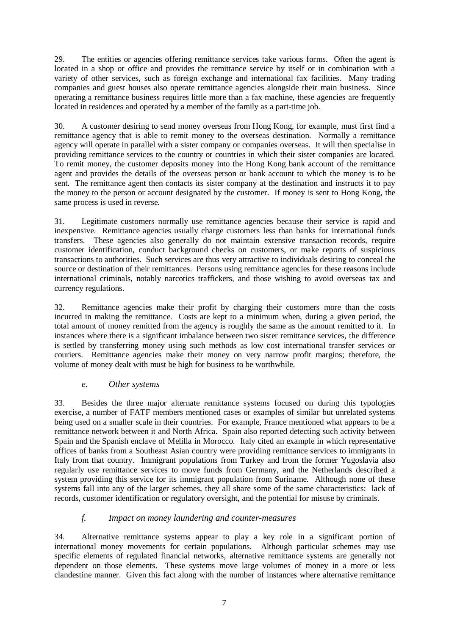29. The entities or agencies offering remittance services take various forms. Often the agent is located in a shop or office and provides the remittance service by itself or in combination with a variety of other services, such as foreign exchange and international fax facilities. Many trading companies and guest houses also operate remittance agencies alongside their main business. Since operating a remittance business requires little more than a fax machine, these agencies are frequently located in residences and operated by a member of the family as a part-time job.

30. A customer desiring to send money overseas from Hong Kong, for example, must first find a remittance agency that is able to remit money to the overseas destination. Normally a remittance agency will operate in parallel with a sister company or companies overseas. It will then specialise in providing remittance services to the country or countries in which their sister companies are located. To remit money, the customer deposits money into the Hong Kong bank account of the remittance agent and provides the details of the overseas person or bank account to which the money is to be sent. The remittance agent then contacts its sister company at the destination and instructs it to pay the money to the person or account designated by the customer. If money is sent to Hong Kong, the same process is used in reverse.

31. Legitimate customers normally use remittance agencies because their service is rapid and inexpensive. Remittance agencies usually charge customers less than banks for international funds transfers. These agencies also generally do not maintain extensive transaction records, require customer identification, conduct background checks on customers, or make reports of suspicious transactions to authorities. Such services are thus very attractive to individuals desiring to conceal the source or destination of their remittances. Persons using remittance agencies for these reasons include international criminals, notably narcotics traffickers, and those wishing to avoid overseas tax and currency regulations.

32. Remittance agencies make their profit by charging their customers more than the costs incurred in making the remittance. Costs are kept to a minimum when, during a given period, the total amount of money remitted from the agency is roughly the same as the amount remitted to it. In instances where there is a significant imbalance between two sister remittance services, the difference is settled by transferring money using such methods as low cost international transfer services or couriers. Remittance agencies make their money on very narrow profit margins; therefore, the volume of money dealt with must be high for business to be worthwhile.

## *e. Other systems*

33. Besides the three major alternate remittance systems focused on during this typologies exercise, a number of FATF members mentioned cases or examples of similar but unrelated systems being used on a smaller scale in their countries. For example, France mentioned what appears to be a remittance network between it and North Africa. Spain also reported detecting such activity between Spain and the Spanish enclave of Melilla in Morocco. Italy cited an example in which representative offices of banks from a Southeast Asian country were providing remittance services to immigrants in Italy from that country. Immigrant populations from Turkey and from the former Yugoslavia also regularly use remittance services to move funds from Germany, and the Netherlands described a system providing this service for its immigrant population from Suriname. Although none of these systems fall into any of the larger schemes, they all share some of the same characteristics: lack of records, customer identification or regulatory oversight, and the potential for misuse by criminals.

## *f. Impact on money laundering and counter-measures*

34. Alternative remittance systems appear to play a key role in a significant portion of international money movements for certain populations. Although particular schemes may use specific elements of regulated financial networks, alternative remittance systems are generally not dependent on those elements. These systems move large volumes of money in a more or less clandestine manner. Given this fact along with the number of instances where alternative remittance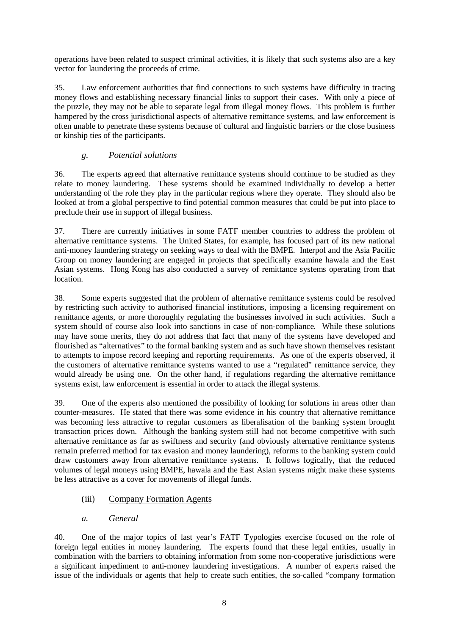operations have been related to suspect criminal activities, it is likely that such systems also are a key vector for laundering the proceeds of crime.

35. Law enforcement authorities that find connections to such systems have difficulty in tracing money flows and establishing necessary financial links to support their cases. With only a piece of the puzzle, they may not be able to separate legal from illegal money flows. This problem is further hampered by the cross jurisdictional aspects of alternative remittance systems, and law enforcement is often unable to penetrate these systems because of cultural and linguistic barriers or the close business or kinship ties of the participants.

## *g. Potential solutions*

36. The experts agreed that alternative remittance systems should continue to be studied as they relate to money laundering. These systems should be examined individually to develop a better understanding of the role they play in the particular regions where they operate. They should also be looked at from a global perspective to find potential common measures that could be put into place to preclude their use in support of illegal business.

37. There are currently initiatives in some FATF member countries to address the problem of alternative remittance systems. The United States, for example, has focused part of its new national anti-money laundering strategy on seeking ways to deal with the BMPE. Interpol and the Asia Pacific Group on money laundering are engaged in projects that specifically examine hawala and the East Asian systems. Hong Kong has also conducted a survey of remittance systems operating from that location.

38. Some experts suggested that the problem of alternative remittance systems could be resolved by restricting such activity to authorised financial institutions, imposing a licensing requirement on remittance agents, or more thoroughly regulating the businesses involved in such activities. Such a system should of course also look into sanctions in case of non-compliance. While these solutions may have some merits, they do not address that fact that many of the systems have developed and flourished as "alternatives" to the formal banking system and as such have shown themselves resistant to attempts to impose record keeping and reporting requirements. As one of the experts observed, if the customers of alternative remittance systems wanted to use a "regulated" remittance service, they would already be using one. On the other hand, if regulations regarding the alternative remittance systems exist, law enforcement is essential in order to attack the illegal systems.

39. One of the experts also mentioned the possibility of looking for solutions in areas other than counter-measures. He stated that there was some evidence in his country that alternative remittance was becoming less attractive to regular customers as liberalisation of the banking system brought transaction prices down. Although the banking system still had not become competitive with such alternative remittance as far as swiftness and security (and obviously alternative remittance systems remain preferred method for tax evasion and money laundering), reforms to the banking system could draw customers away from alternative remittance systems. It follows logically, that the reduced volumes of legal moneys using BMPE, hawala and the East Asian systems might make these systems be less attractive as a cover for movements of illegal funds.

## (iii) Company Formation Agents

## *a. General*

40. One of the major topics of last year's FATF Typologies exercise focused on the role of foreign legal entities in money laundering. The experts found that these legal entities, usually in combination with the barriers to obtaining information from some non-cooperative jurisdictions were a significant impediment to anti-money laundering investigations. A number of experts raised the issue of the individuals or agents that help to create such entities, the so-called "company formation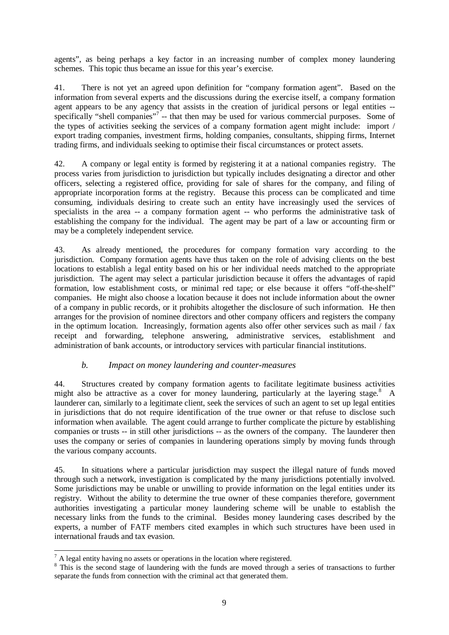agents", as being perhaps a key factor in an increasing number of complex money laundering schemes. This topic thus became an issue for this year's exercise.

41. There is not yet an agreed upon definition for "company formation agent". Based on the information from several experts and the discussions during the exercise itself, a company formation agent appears to be any agency that assists in the creation of juridical persons or legal entities - specifically "shell companies"<sup>7</sup> -- that then may be used for various commercial purposes. Some of the types of activities seeking the services of a company formation agent might include: import / export trading companies, investment firms, holding companies, consultants, shipping firms, Internet trading firms, and individuals seeking to optimise their fiscal circumstances or protect assets.

42. A company or legal entity is formed by registering it at a national companies registry. The process varies from jurisdiction to jurisdiction but typically includes designating a director and other officers, selecting a registered office, providing for sale of shares for the company, and filing of appropriate incorporation forms at the registry. Because this process can be complicated and time consuming, individuals desiring to create such an entity have increasingly used the services of specialists in the area -- a company formation agent -- who performs the administrative task of establishing the company for the individual. The agent may be part of a law or accounting firm or may be a completely independent service.

43. As already mentioned, the procedures for company formation vary according to the jurisdiction. Company formation agents have thus taken on the role of advising clients on the best locations to establish a legal entity based on his or her individual needs matched to the appropriate jurisdiction. The agent may select a particular jurisdiction because it offers the advantages of rapid formation, low establishment costs, or minimal red tape; or else because it offers "off-the-shelf" companies. He might also choose a location because it does not include information about the owner of a company in public records, or it prohibits altogether the disclosure of such information. He then arranges for the provision of nominee directors and other company officers and registers the company in the optimum location. Increasingly, formation agents also offer other services such as mail / fax receipt and forwarding, telephone answering, administrative services, establishment and administration of bank accounts, or introductory services with particular financial institutions.

## *b. Impact on money laundering and counter-measures*

44. Structures created by company formation agents to facilitate legitimate business activities might also be attractive as a cover for money laundering, particularly at the layering stage.<sup>8</sup> A launderer can, similarly to a legitimate client, seek the services of such an agent to set up legal entities in jurisdictions that do not require identification of the true owner or that refuse to disclose such information when available. The agent could arrange to further complicate the picture by establishing companies or trusts -- in still other jurisdictions -- as the owners of the company. The launderer then uses the company or series of companies in laundering operations simply by moving funds through the various company accounts.

45. In situations where a particular jurisdiction may suspect the illegal nature of funds moved through such a network, investigation is complicated by the many jurisdictions potentially involved. Some jurisdictions may be unable or unwilling to provide information on the legal entities under its registry. Without the ability to determine the true owner of these companies therefore, government authorities investigating a particular money laundering scheme will be unable to establish the necessary links from the funds to the criminal. Besides money laundering cases described by the experts, a number of FATF members cited examples in which such structures have been used in international frauds and tax evasion.

<sup>&</sup>lt;sup>7</sup> A legal entity having no assets or operations in the location where registered.

<sup>&</sup>lt;sup>8</sup> This is the second stage of laundering with the funds are moved through a series of transactions to further separate the funds from connection with the criminal act that generated them.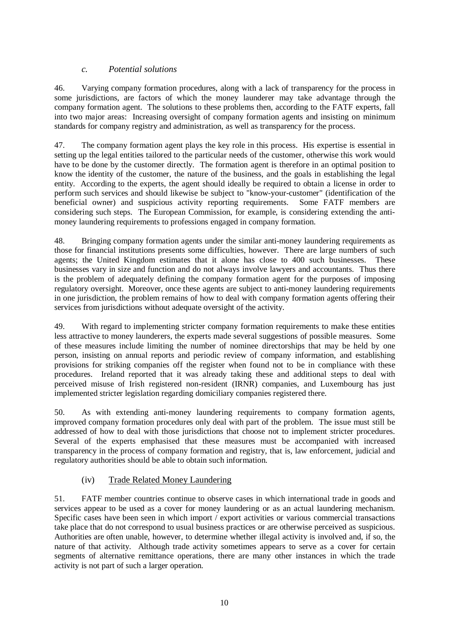## *c. Potential solutions*

46. Varying company formation procedures, along with a lack of transparency for the process in some jurisdictions, are factors of which the money launderer may take advantage through the company formation agent. The solutions to these problems then, according to the FATF experts, fall into two major areas: Increasing oversight of company formation agents and insisting on minimum standards for company registry and administration, as well as transparency for the process.

47. The company formation agent plays the key role in this process. His expertise is essential in setting up the legal entities tailored to the particular needs of the customer, otherwise this work would have to be done by the customer directly. The formation agent is therefore in an optimal position to know the identity of the customer, the nature of the business, and the goals in establishing the legal entity. According to the experts, the agent should ideally be required to obtain a license in order to perform such services and should likewise be subject to "know-your-customer" (identification of the beneficial owner) and suspicious activity reporting requirements. Some FATF members are considering such steps. The European Commission, for example, is considering extending the antimoney laundering requirements to professions engaged in company formation.

48. Bringing company formation agents under the similar anti-money laundering requirements as those for financial institutions presents some difficulties, however. There are large numbers of such agents; the United Kingdom estimates that it alone has close to 400 such businesses. These businesses vary in size and function and do not always involve lawyers and accountants. Thus there is the problem of adequately defining the company formation agent for the purposes of imposing regulatory oversight. Moreover, once these agents are subject to anti-money laundering requirements in one jurisdiction, the problem remains of how to deal with company formation agents offering their services from jurisdictions without adequate oversight of the activity.

49. With regard to implementing stricter company formation requirements to make these entities less attractive to money launderers, the experts made several suggestions of possible measures. Some of these measures include limiting the number of nominee directorships that may be held by one person, insisting on annual reports and periodic review of company information, and establishing provisions for striking companies off the register when found not to be in compliance with these procedures. Ireland reported that it was already taking these and additional steps to deal with perceived misuse of Irish registered non-resident (IRNR) companies, and Luxembourg has just implemented stricter legislation regarding domiciliary companies registered there.

50. As with extending anti-money laundering requirements to company formation agents, improved company formation procedures only deal with part of the problem. The issue must still be addressed of how to deal with those jurisdictions that choose not to implement stricter procedures. Several of the experts emphasised that these measures must be accompanied with increased transparency in the process of company formation and registry, that is, law enforcement, judicial and regulatory authorities should be able to obtain such information.

## (iv) Trade Related Money Laundering

51. FATF member countries continue to observe cases in which international trade in goods and services appear to be used as a cover for money laundering or as an actual laundering mechanism. Specific cases have been seen in which import / export activities or various commercial transactions take place that do not correspond to usual business practices or are otherwise perceived as suspicious. Authorities are often unable, however, to determine whether illegal activity is involved and, if so, the nature of that activity. Although trade activity sometimes appears to serve as a cover for certain segments of alternative remittance operations, there are many other instances in which the trade activity is not part of such a larger operation.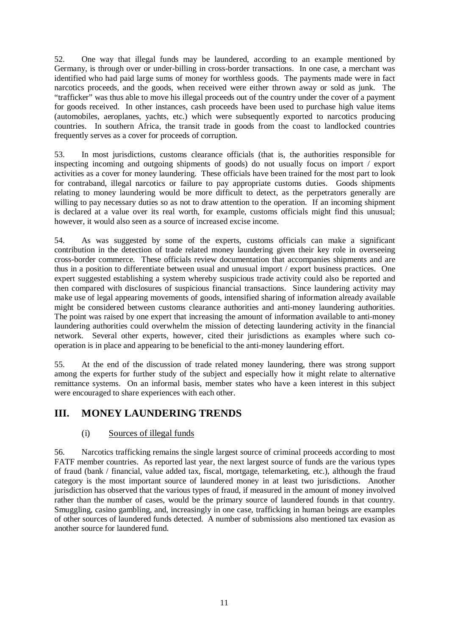52. One way that illegal funds may be laundered, according to an example mentioned by Germany, is through over or under-billing in cross-border transactions. In one case, a merchant was identified who had paid large sums of money for worthless goods. The payments made were in fact narcotics proceeds, and the goods, when received were either thrown away or sold as junk. The "trafficker" was thus able to move his illegal proceeds out of the country under the cover of a payment for goods received. In other instances, cash proceeds have been used to purchase high value items (automobiles, aeroplanes, yachts, etc.) which were subsequently exported to narcotics producing countries. In southern Africa, the transit trade in goods from the coast to landlocked countries frequently serves as a cover for proceeds of corruption.

53. In most jurisdictions, customs clearance officials (that is, the authorities responsible for inspecting incoming and outgoing shipments of goods) do not usually focus on import / export activities as a cover for money laundering. These officials have been trained for the most part to look for contraband, illegal narcotics or failure to pay appropriate customs duties. Goods shipments relating to money laundering would be more difficult to detect, as the perpetrators generally are willing to pay necessary duties so as not to draw attention to the operation. If an incoming shipment is declared at a value over its real worth, for example, customs officials might find this unusual; however, it would also seen as a source of increased excise income.

54. As was suggested by some of the experts, customs officials can make a significant contribution in the detection of trade related money laundering given their key role in overseeing cross-border commerce. These officials review documentation that accompanies shipments and are thus in a position to differentiate between usual and unusual import / export business practices. One expert suggested establishing a system whereby suspicious trade activity could also be reported and then compared with disclosures of suspicious financial transactions. Since laundering activity may make use of legal appearing movements of goods, intensified sharing of information already available might be considered between customs clearance authorities and anti-money laundering authorities. The point was raised by one expert that increasing the amount of information available to anti-money laundering authorities could overwhelm the mission of detecting laundering activity in the financial network. Several other experts, however, cited their jurisdictions as examples where such cooperation is in place and appearing to be beneficial to the anti-money laundering effort.

55. At the end of the discussion of trade related money laundering, there was strong support among the experts for further study of the subject and especially how it might relate to alternative remittance systems. On an informal basis, member states who have a keen interest in this subject were encouraged to share experiences with each other.

# **III. MONEY LAUNDERING TRENDS**

## (i) Sources of illegal funds

56. Narcotics trafficking remains the single largest source of criminal proceeds according to most FATF member countries. As reported last year, the next largest source of funds are the various types of fraud (bank / financial, value added tax, fiscal, mortgage, telemarketing, etc.), although the fraud category is the most important source of laundered money in at least two jurisdictions. Another jurisdiction has observed that the various types of fraud, if measured in the amount of money involved rather than the number of cases, would be the primary source of laundered founds in that country. Smuggling, casino gambling, and, increasingly in one case, trafficking in human beings are examples of other sources of laundered funds detected. A number of submissions also mentioned tax evasion as another source for laundered fund.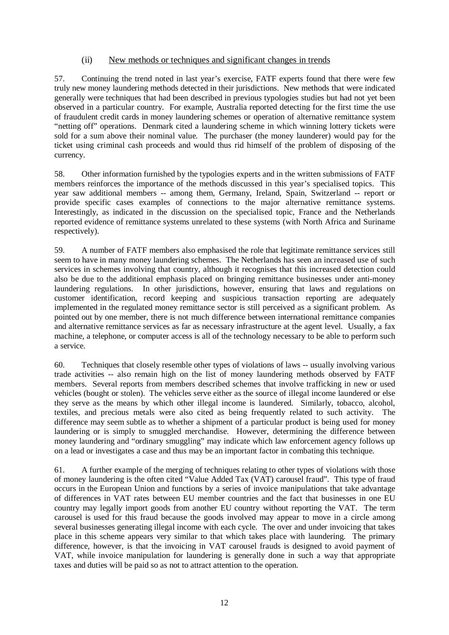## (ii) New methods or techniques and significant changes in trends

57. Continuing the trend noted in last year's exercise, FATF experts found that there were few truly new money laundering methods detected in their jurisdictions. New methods that were indicated generally were techniques that had been described in previous typologies studies but had not yet been observed in a particular country. For example, Australia reported detecting for the first time the use of fraudulent credit cards in money laundering schemes or operation of alternative remittance system "netting off" operations. Denmark cited a laundering scheme in which winning lottery tickets were sold for a sum above their nominal value. The purchaser (the money launderer) would pay for the ticket using criminal cash proceeds and would thus rid himself of the problem of disposing of the currency.

58. Other information furnished by the typologies experts and in the written submissions of FATF members reinforces the importance of the methods discussed in this year's specialised topics. This year saw additional members -- among them, Germany, Ireland, Spain, Switzerland -- report or provide specific cases examples of connections to the major alternative remittance systems. Interestingly, as indicated in the discussion on the specialised topic, France and the Netherlands reported evidence of remittance systems unrelated to these systems (with North Africa and Suriname respectively).

59. A number of FATF members also emphasised the role that legitimate remittance services still seem to have in many money laundering schemes. The Netherlands has seen an increased use of such services in schemes involving that country, although it recognises that this increased detection could also be due to the additional emphasis placed on bringing remittance businesses under anti-money laundering regulations. In other jurisdictions, however, ensuring that laws and regulations on customer identification, record keeping and suspicious transaction reporting are adequately implemented in the regulated money remittance sector is still perceived as a significant problem. As pointed out by one member, there is not much difference between international remittance companies and alternative remittance services as far as necessary infrastructure at the agent level. Usually, a fax machine, a telephone, or computer access is all of the technology necessary to be able to perform such a service.

60. Techniques that closely resemble other types of violations of laws -- usually involving various trade activities -- also remain high on the list of money laundering methods observed by FATF members. Several reports from members described schemes that involve trafficking in new or used vehicles (bought or stolen). The vehicles serve either as the source of illegal income laundered or else they serve as the means by which other illegal income is laundered. Similarly, tobacco, alcohol, textiles, and precious metals were also cited as being frequently related to such activity. The difference may seem subtle as to whether a shipment of a particular product is being used for money laundering or is simply to smuggled merchandise. However, determining the difference between money laundering and "ordinary smuggling" may indicate which law enforcement agency follows up on a lead or investigates a case and thus may be an important factor in combating this technique.

61. A further example of the merging of techniques relating to other types of violations with those of money laundering is the often cited "Value Added Tax (VAT) carousel fraud". This type of fraud occurs in the European Union and functions by a series of invoice manipulations that take advantage of differences in VAT rates between EU member countries and the fact that businesses in one EU country may legally import goods from another EU country without reporting the VAT. The term carousel is used for this fraud because the goods involved may appear to move in a circle among several businesses generating illegal income with each cycle. The over and under invoicing that takes place in this scheme appears very similar to that which takes place with laundering. The primary difference, however, is that the invoicing in VAT carousel frauds is designed to avoid payment of VAT, while invoice manipulation for laundering is generally done in such a way that appropriate taxes and duties will be paid so as not to attract attention to the operation.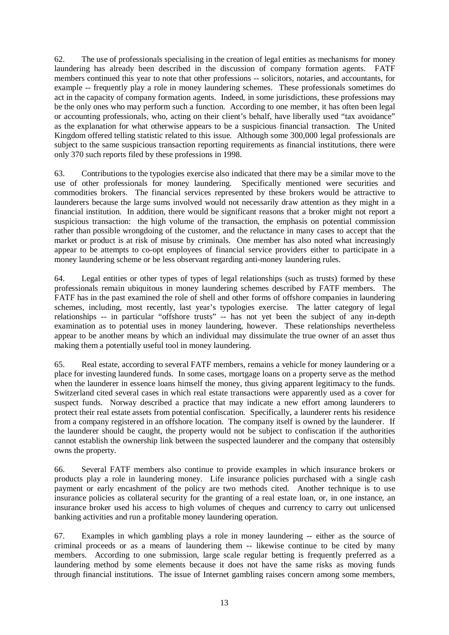62. The use of professionals specialising in the creation of legal entities as mechanisms for money laundering has already been described in the discussion of company formation agents. FATF members continued this year to note that other professions -- solicitors, notaries, and accountants, for example -- frequently play a role in money laundering schemes. These professionals sometimes do act in the capacity of company formation agents. Indeed, in some jurisdictions, these professions may be the only ones who may perform such a function. According to one member, it has often been legal or accounting professionals, who, acting on their client's behalf, have liberally used "tax avoidance" as the explanation for what otherwise appears to be a suspicious financial transaction. The United Kingdom offered telling statistic related to this issue. Although some 300,000 legal professionals are subject to the same suspicious transaction reporting requirements as financial institutions, there were only 370 such reports filed by these professions in 1998.

63. Contributions to the typologies exercise also indicated that there may be a similar move to the use of other professionals for money laundering. Specifically mentioned were securities and commodities brokers. The financial services represented by these brokers would be attractive to launderers because the large sums involved would not necessarily draw attention as they might in a financial institution. In addition, there would be significant reasons that a broker might not report a suspicious transaction: the high volume of the transaction, the emphasis on potential commission rather than possible wrongdoing of the customer, and the reluctance in many cases to accept that the market or product is at risk of misuse by criminals. One member has also noted what increasingly appear to be attempts to co-opt employees of financial service providers either to participate in a money laundering scheme or be less observant regarding anti-money laundering rules.

64. Legal entities or other types of types of legal relationships (such as trusts) formed by these professionals remain ubiquitous in money laundering schemes described by FATF members. The FATF has in the past examined the role of shell and other forms of offshore companies in laundering schemes, including, most recently, last year's typologies exercise. The latter category of legal relationships -- in particular "offshore trusts" -- has not yet been the subject of any in-depth examination as to potential uses in money laundering, however. These relationships nevertheless appear to be another means by which an individual may dissimulate the true owner of an asset thus making them a potentially useful tool in money laundering.

65. Real estate, according to several FATF members, remains a vehicle for money laundering or a place for investing laundered funds. In some cases, mortgage loans on a property serve as the method when the launderer in essence loans himself the money, thus giving apparent legitimacy to the funds. Switzerland cited several cases in which real estate transactions were apparently used as a cover for suspect funds. Norway described a practice that may indicate a new effort among launderers to protect their real estate assets from potential confiscation. Specifically, a launderer rents his residence from a company registered in an offshore location. The company itself is owned by the launderer. If the launderer should be caught, the property would not be subject to confiscation if the authorities cannot establish the ownership link between the suspected launderer and the company that ostensibly owns the property.

66. Several FATF members also continue to provide examples in which insurance brokers or products play a role in laundering money. Life insurance policies purchased with a single cash payment or early encashment of the policy are two methods cited. Another technique is to use insurance policies as collateral security for the granting of a real estate loan, or, in one instance, an insurance broker used his access to high volumes of cheques and currency to carry out unlicensed banking activities and run a profitable money laundering operation.

67. Examples in which gambling plays a role in money laundering -- either as the source of criminal proceeds or as a means of laundering them -- likewise continue to be cited by many members. According to one submission, large scale regular betting is frequently preferred as a laundering method by some elements because it does not have the same risks as moving funds through financial institutions. The issue of Internet gambling raises concern among some members,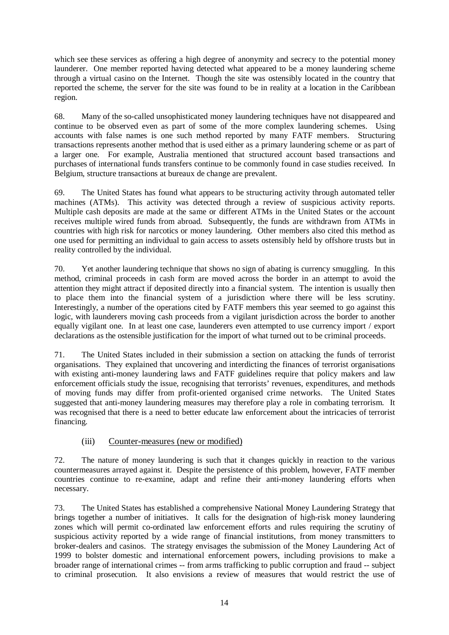which see these services as offering a high degree of anonymity and secrecy to the potential money launderer. One member reported having detected what appeared to be a money laundering scheme through a virtual casino on the Internet. Though the site was ostensibly located in the country that reported the scheme, the server for the site was found to be in reality at a location in the Caribbean region.

68. Many of the so-called unsophisticated money laundering techniques have not disappeared and continue to be observed even as part of some of the more complex laundering schemes. Using accounts with false names is one such method reported by many FATF members. Structuring transactions represents another method that is used either as a primary laundering scheme or as part of a larger one. For example, Australia mentioned that structured account based transactions and purchases of international funds transfers continue to be commonly found in case studies received. In Belgium, structure transactions at bureaux de change are prevalent.

69. The United States has found what appears to be structuring activity through automated teller machines (ATMs). This activity was detected through a review of suspicious activity reports. Multiple cash deposits are made at the same or different ATMs in the United States or the account receives multiple wired funds from abroad. Subsequently, the funds are withdrawn from ATMs in countries with high risk for narcotics or money laundering. Other members also cited this method as one used for permitting an individual to gain access to assets ostensibly held by offshore trusts but in reality controlled by the individual.

70. Yet another laundering technique that shows no sign of abating is currency smuggling. In this method, criminal proceeds in cash form are moved across the border in an attempt to avoid the attention they might attract if deposited directly into a financial system. The intention is usually then to place them into the financial system of a jurisdiction where there will be less scrutiny. Interestingly, a number of the operations cited by FATF members this year seemed to go against this logic, with launderers moving cash proceeds from a vigilant jurisdiction across the border to another equally vigilant one. In at least one case, launderers even attempted to use currency import / export declarations as the ostensible justification for the import of what turned out to be criminal proceeds.

71. The United States included in their submission a section on attacking the funds of terrorist organisations. They explained that uncovering and interdicting the finances of terrorist organisations with existing anti-money laundering laws and FATF guidelines require that policy makers and law enforcement officials study the issue, recognising that terrorists' revenues, expenditures, and methods of moving funds may differ from profit-oriented organised crime networks. The United States suggested that anti-money laundering measures may therefore play a role in combating terrorism. It was recognised that there is a need to better educate law enforcement about the intricacies of terrorist financing.

## (iii) Counter-measures (new or modified)

72. The nature of money laundering is such that it changes quickly in reaction to the various countermeasures arrayed against it. Despite the persistence of this problem, however, FATF member countries continue to re-examine, adapt and refine their anti-money laundering efforts when necessary.

73. The United States has established a comprehensive National Money Laundering Strategy that brings together a number of initiatives. It calls for the designation of high-risk money laundering zones which will permit co-ordinated law enforcement efforts and rules requiring the scrutiny of suspicious activity reported by a wide range of financial institutions, from money transmitters to broker-dealers and casinos. The strategy envisages the submission of the Money Laundering Act of 1999 to bolster domestic and international enforcement powers, including provisions to make a broader range of international crimes -- from arms trafficking to public corruption and fraud -- subject to criminal prosecution. It also envisions a review of measures that would restrict the use of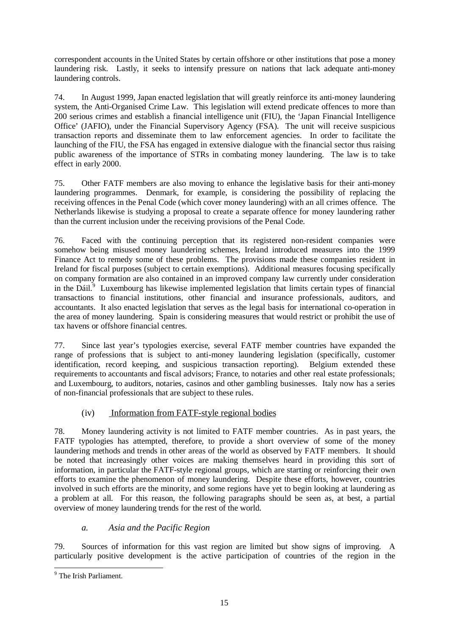correspondent accounts in the United States by certain offshore or other institutions that pose a money laundering risk. Lastly, it seeks to intensify pressure on nations that lack adequate anti-money laundering controls.

74. In August 1999, Japan enacted legislation that will greatly reinforce its anti-money laundering system, the Anti-Organised Crime Law. This legislation will extend predicate offences to more than 200 serious crimes and establish a financial intelligence unit (FIU), the 'Japan Financial Intelligence Office' (JAFIO), under the Financial Supervisory Agency (FSA). The unit will receive suspicious transaction reports and disseminate them to law enforcement agencies. In order to facilitate the launching of the FIU, the FSA has engaged in extensive dialogue with the financial sector thus raising public awareness of the importance of STRs in combating money laundering. The law is to take effect in early 2000.

75. Other FATF members are also moving to enhance the legislative basis for their anti-money laundering programmes. Denmark, for example, is considering the possibility of replacing the receiving offences in the Penal Code (which cover money laundering) with an all crimes offence. The Netherlands likewise is studying a proposal to create a separate offence for money laundering rather than the current inclusion under the receiving provisions of the Penal Code.

76. Faced with the continuing perception that its registered non-resident companies were somehow being misused money laundering schemes, Ireland introduced measures into the 1999 Finance Act to remedy some of these problems. The provisions made these companies resident in Ireland for fiscal purposes (subject to certain exemptions). Additional measures focusing specifically on company formation are also contained in an improved company law currently under consideration in the Dáil.<sup>9</sup> Luxembourg has likewise implemented legislation that limits certain types of financial transactions to financial institutions, other financial and insurance professionals, auditors, and accountants. It also enacted legislation that serves as the legal basis for international co-operation in the area of money laundering. Spain is considering measures that would restrict or prohibit the use of tax havens or offshore financial centres.

77. Since last year's typologies exercise, several FATF member countries have expanded the range of professions that is subject to anti-money laundering legislation (specifically, customer identification, record keeping, and suspicious transaction reporting). Belgium extended these requirements to accountants and fiscal advisors; France, to notaries and other real estate professionals; and Luxembourg, to auditors, notaries, casinos and other gambling businesses. Italy now has a series of non-financial professionals that are subject to these rules.

# (iv) Information from FATF-style regional bodies

78. Money laundering activity is not limited to FATF member countries. As in past years, the FATF typologies has attempted, therefore, to provide a short overview of some of the money laundering methods and trends in other areas of the world as observed by FATF members. It should be noted that increasingly other voices are making themselves heard in providing this sort of information, in particular the FATF-style regional groups, which are starting or reinforcing their own efforts to examine the phenomenon of money laundering. Despite these efforts, however, countries involved in such efforts are the minority, and some regions have yet to begin looking at laundering as a problem at all. For this reason, the following paragraphs should be seen as, at best, a partial overview of money laundering trends for the rest of the world.

# *a. Asia and the Pacific Region*

79. Sources of information for this vast region are limited but show signs of improving. A particularly positive development is the active participation of countries of the region in the

 9 The Irish Parliament.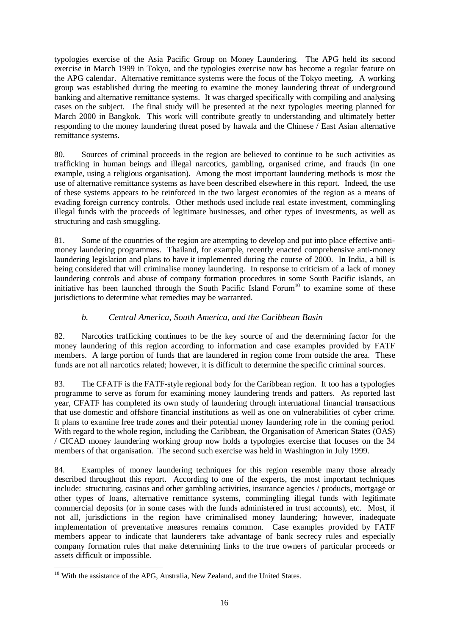typologies exercise of the Asia Pacific Group on Money Laundering. The APG held its second exercise in March 1999 in Tokyo, and the typologies exercise now has become a regular feature on the APG calendar. Alternative remittance systems were the focus of the Tokyo meeting. A working group was established during the meeting to examine the money laundering threat of underground banking and alternative remittance systems. It was charged specifically with compiling and analysing cases on the subject. The final study will be presented at the next typologies meeting planned for March 2000 in Bangkok. This work will contribute greatly to understanding and ultimately better responding to the money laundering threat posed by hawala and the Chinese / East Asian alternative remittance systems.

80. Sources of criminal proceeds in the region are believed to continue to be such activities as trafficking in human beings and illegal narcotics, gambling, organised crime, and frauds (in one example, using a religious organisation). Among the most important laundering methods is most the use of alternative remittance systems as have been described elsewhere in this report. Indeed, the use of these systems appears to be reinforced in the two largest economies of the region as a means of evading foreign currency controls. Other methods used include real estate investment, commingling illegal funds with the proceeds of legitimate businesses, and other types of investments, as well as structuring and cash smuggling.

81. Some of the countries of the region are attempting to develop and put into place effective antimoney laundering programmes. Thailand, for example, recently enacted comprehensive anti-money laundering legislation and plans to have it implemented during the course of 2000. In India, a bill is being considered that will criminalise money laundering. In response to criticism of a lack of money laundering controls and abuse of company formation procedures in some South Pacific islands, an initiative has been launched through the South Pacific Island Forum<sup>10</sup> to examine some of these jurisdictions to determine what remedies may be warranted.

## *b. Central America, South America, and the Caribbean Basin*

82. Narcotics trafficking continues to be the key source of and the determining factor for the money laundering of this region according to information and case examples provided by FATF members. A large portion of funds that are laundered in region come from outside the area. These funds are not all narcotics related; however, it is difficult to determine the specific criminal sources.

83. The CFATF is the FATF-style regional body for the Caribbean region. It too has a typologies programme to serve as forum for examining money laundering trends and patters. As reported last year, CFATF has completed its own study of laundering through international financial transactions that use domestic and offshore financial institutions as well as one on vulnerabilities of cyber crime. It plans to examine free trade zones and their potential money laundering role in the coming period. With regard to the whole region, including the Caribbean, the Organisation of American States (OAS) / CICAD money laundering working group now holds a typologies exercise that focuses on the 34 members of that organisation. The second such exercise was held in Washington in July 1999.

84. Examples of money laundering techniques for this region resemble many those already described throughout this report. According to one of the experts, the most important techniques include: structuring, casinos and other gambling activities, insurance agencies / products, mortgage or other types of loans, alternative remittance systems, commingling illegal funds with legitimate commercial deposits (or in some cases with the funds administered in trust accounts), etc. Most, if not all, jurisdictions in the region have criminalised money laundering; however, inadequate implementation of preventative measures remains common. Case examples provided by FATF members appear to indicate that launderers take advantage of bank secrecy rules and especially company formation rules that make determining links to the true owners of particular proceeds or assets difficult or impossible.

 $\overline{a}$ <sup>10</sup> With the assistance of the APG, Australia, New Zealand, and the United States.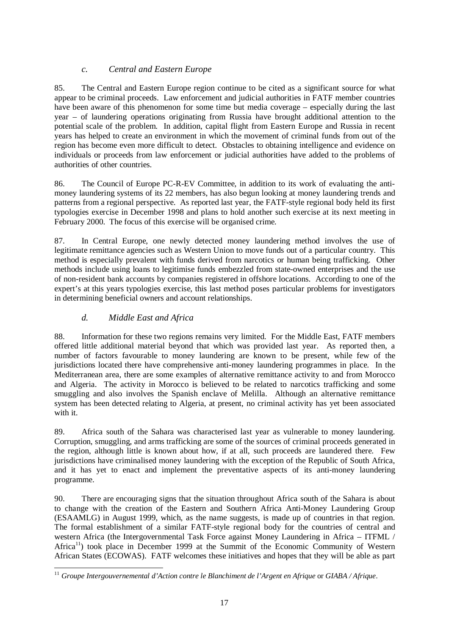## *c. Central and Eastern Europe*

85. The Central and Eastern Europe region continue to be cited as a significant source for what appear to be criminal proceeds. Law enforcement and judicial authorities in FATF member countries have been aware of this phenomenon for some time but media coverage – especially during the last year – of laundering operations originating from Russia have brought additional attention to the potential scale of the problem. In addition, capital flight from Eastern Europe and Russia in recent years has helped to create an environment in which the movement of criminal funds from out of the region has become even more difficult to detect. Obstacles to obtaining intelligence and evidence on individuals or proceeds from law enforcement or judicial authorities have added to the problems of authorities of other countries.

86. The Council of Europe PC-R-EV Committee, in addition to its work of evaluating the antimoney laundering systems of its 22 members, has also begun looking at money laundering trends and patterns from a regional perspective. As reported last year, the FATF-style regional body held its first typologies exercise in December 1998 and plans to hold another such exercise at its next meeting in February 2000. The focus of this exercise will be organised crime.

87. In Central Europe, one newly detected money laundering method involves the use of legitimate remittance agencies such as Western Union to move funds out of a particular country. This method is especially prevalent with funds derived from narcotics or human being trafficking. Other methods include using loans to legitimise funds embezzled from state-owned enterprises and the use of non-resident bank accounts by companies registered in offshore locations. According to one of the expert's at this years typologies exercise, this last method poses particular problems for investigators in determining beneficial owners and account relationships.

## *d. Middle East and Africa*

88. Information for these two regions remains very limited. For the Middle East, FATF members offered little additional material beyond that which was provided last year. As reported then, a number of factors favourable to money laundering are known to be present, while few of the jurisdictions located there have comprehensive anti-money laundering programmes in place. In the Mediterranean area, there are some examples of alternative remittance activity to and from Morocco and Algeria. The activity in Morocco is believed to be related to narcotics trafficking and some smuggling and also involves the Spanish enclave of Melilla. Although an alternative remittance system has been detected relating to Algeria, at present, no criminal activity has yet been associated with it.

89. Africa south of the Sahara was characterised last year as vulnerable to money laundering. Corruption, smuggling, and arms trafficking are some of the sources of criminal proceeds generated in the region, although little is known about how, if at all, such proceeds are laundered there. Few jurisdictions have criminalised money laundering with the exception of the Republic of South Africa, and it has yet to enact and implement the preventative aspects of its anti-money laundering programme.

90. There are encouraging signs that the situation throughout Africa south of the Sahara is about to change with the creation of the Eastern and Southern Africa Anti-Money Laundering Group (ESAAMLG) in August 1999, which, as the name suggests, is made up of countries in that region. The formal establishment of a similar FATF-style regional body for the countries of central and western Africa (the Intergovernmental Task Force against Money Laundering in Africa – ITFML / Africa<sup>11</sup>) took place in December 1999 at the Summit of the Economic Community of Western African States (ECOWAS). FATF welcomes these initiatives and hopes that they will be able as part

 $\overline{a}$ <sup>11</sup> Groupe Intergouvernemental d'Action contre le Blanchiment de l'Argent en Afrique or *GIABA / Afrique*.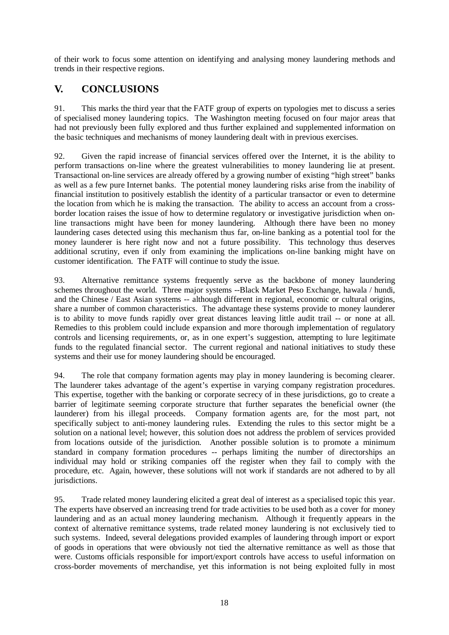of their work to focus some attention on identifying and analysing money laundering methods and trends in their respective regions.

# **V. CONCLUSIONS**

91. This marks the third year that the FATF group of experts on typologies met to discuss a series of specialised money laundering topics. The Washington meeting focused on four major areas that had not previously been fully explored and thus further explained and supplemented information on the basic techniques and mechanisms of money laundering dealt with in previous exercises.

92. Given the rapid increase of financial services offered over the Internet, it is the ability to perform transactions on-line where the greatest vulnerabilities to money laundering lie at present. Transactional on-line services are already offered by a growing number of existing "high street" banks as well as a few pure Internet banks. The potential money laundering risks arise from the inability of financial institution to positively establish the identity of a particular transactor or even to determine the location from which he is making the transaction. The ability to access an account from a crossborder location raises the issue of how to determine regulatory or investigative jurisdiction when online transactions might have been for money laundering. Although there have been no money laundering cases detected using this mechanism thus far, on-line banking as a potential tool for the money launderer is here right now and not a future possibility. This technology thus deserves additional scrutiny, even if only from examining the implications on-line banking might have on customer identification. The FATF will continue to study the issue.

93. Alternative remittance systems frequently serve as the backbone of money laundering schemes throughout the world. Three major systems --Black Market Peso Exchange, hawala / hundi, and the Chinese / East Asian systems -- although different in regional, economic or cultural origins, share a number of common characteristics. The advantage these systems provide to money launderer is to ability to move funds rapidly over great distances leaving little audit trail -- or none at all. Remedies to this problem could include expansion and more thorough implementation of regulatory controls and licensing requirements, or, as in one expert's suggestion, attempting to lure legitimate funds to the regulated financial sector. The current regional and national initiatives to study these systems and their use for money laundering should be encouraged.

94. The role that company formation agents may play in money laundering is becoming clearer. The launderer takes advantage of the agent's expertise in varying company registration procedures. This expertise, together with the banking or corporate secrecy of in these jurisdictions, go to create a barrier of legitimate seeming corporate structure that further separates the beneficial owner (the launderer) from his illegal proceeds. Company formation agents are, for the most part, not specifically subject to anti-money laundering rules. Extending the rules to this sector might be a solution on a national level; however, this solution does not address the problem of services provided from locations outside of the jurisdiction. Another possible solution is to promote a minimum standard in company formation procedures -- perhaps limiting the number of directorships an individual may hold or striking companies off the register when they fail to comply with the procedure, etc. Again, however, these solutions will not work if standards are not adhered to by all jurisdictions.

95. Trade related money laundering elicited a great deal of interest as a specialised topic this year. The experts have observed an increasing trend for trade activities to be used both as a cover for money laundering and as an actual money laundering mechanism. Although it frequently appears in the context of alternative remittance systems, trade related money laundering is not exclusively tied to such systems. Indeed, several delegations provided examples of laundering through import or export of goods in operations that were obviously not tied the alternative remittance as well as those that were. Customs officials responsible for import/export controls have access to useful information on cross-border movements of merchandise, yet this information is not being exploited fully in most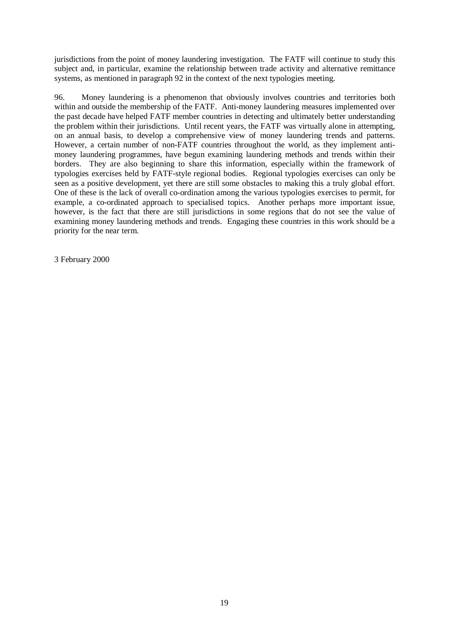jurisdictions from the point of money laundering investigation. The FATF will continue to study this subject and, in particular, examine the relationship between trade activity and alternative remittance systems, as mentioned in paragraph 92 in the context of the next typologies meeting.

96. Money laundering is a phenomenon that obviously involves countries and territories both within and outside the membership of the FATF. Anti-money laundering measures implemented over the past decade have helped FATF member countries in detecting and ultimately better understanding the problem within their jurisdictions. Until recent years, the FATF was virtually alone in attempting, on an annual basis, to develop a comprehensive view of money laundering trends and patterns. However, a certain number of non-FATF countries throughout the world, as they implement antimoney laundering programmes, have begun examining laundering methods and trends within their borders. They are also beginning to share this information, especially within the framework of typologies exercises held by FATF-style regional bodies. Regional typologies exercises can only be seen as a positive development, yet there are still some obstacles to making this a truly global effort. One of these is the lack of overall co-ordination among the various typologies exercises to permit, for example, a co-ordinated approach to specialised topics. Another perhaps more important issue, however, is the fact that there are still jurisdictions in some regions that do not see the value of examining money laundering methods and trends. Engaging these countries in this work should be a priority for the near term.

3 February 2000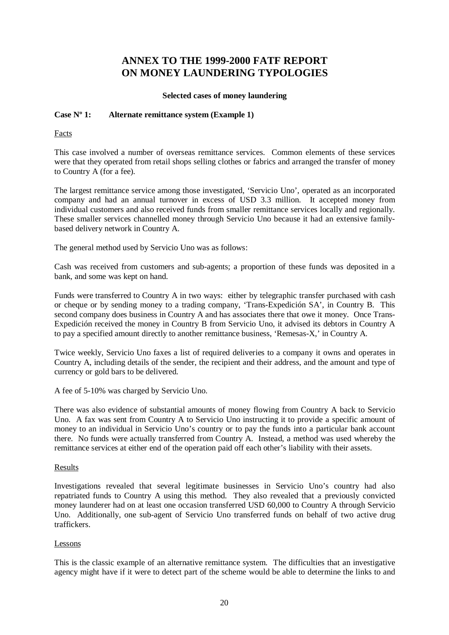# **ANNEX TO THE 1999-2000 FATF REPORT ON MONEY LAUNDERING TYPOLOGIES**

#### **Selected cases of money laundering**

#### **Case Nº 1: Alternate remittance system (Example 1)**

Facts

This case involved a number of overseas remittance services. Common elements of these services were that they operated from retail shops selling clothes or fabrics and arranged the transfer of money to Country A (for a fee).

The largest remittance service among those investigated, 'Servicio Uno', operated as an incorporated company and had an annual turnover in excess of USD 3.3 million. It accepted money from individual customers and also received funds from smaller remittance services locally and regionally. These smaller services channelled money through Servicio Uno because it had an extensive familybased delivery network in Country A.

The general method used by Servicio Uno was as follows:

Cash was received from customers and sub-agents; a proportion of these funds was deposited in a bank, and some was kept on hand.

Funds were transferred to Country A in two ways: either by telegraphic transfer purchased with cash or cheque or by sending money to a trading company, 'Trans-Expedición SA', in Country B. This second company does business in Country A and has associates there that owe it money. Once Trans-Expedición received the money in Country B from Servicio Uno, it advised its debtors in Country A to pay a specified amount directly to another remittance business, 'Remesas-X,' in Country A.

Twice weekly, Servicio Uno faxes a list of required deliveries to a company it owns and operates in Country A, including details of the sender, the recipient and their address, and the amount and type of currency or gold bars to be delivered.

A fee of 5-10% was charged by Servicio Uno.

There was also evidence of substantial amounts of money flowing from Country A back to Servicio Uno. A fax was sent from Country A to Servicio Uno instructing it to provide a specific amount of money to an individual in Servicio Uno's country or to pay the funds into a particular bank account there. No funds were actually transferred from Country A. Instead, a method was used whereby the remittance services at either end of the operation paid off each other's liability with their assets.

#### Results

Investigations revealed that several legitimate businesses in Servicio Uno's country had also repatriated funds to Country A using this method. They also revealed that a previously convicted money launderer had on at least one occasion transferred USD 60,000 to Country A through Servicio Uno. Additionally, one sub-agent of Servicio Uno transferred funds on behalf of two active drug traffickers.

#### Lessons

This is the classic example of an alternative remittance system. The difficulties that an investigative agency might have if it were to detect part of the scheme would be able to determine the links to and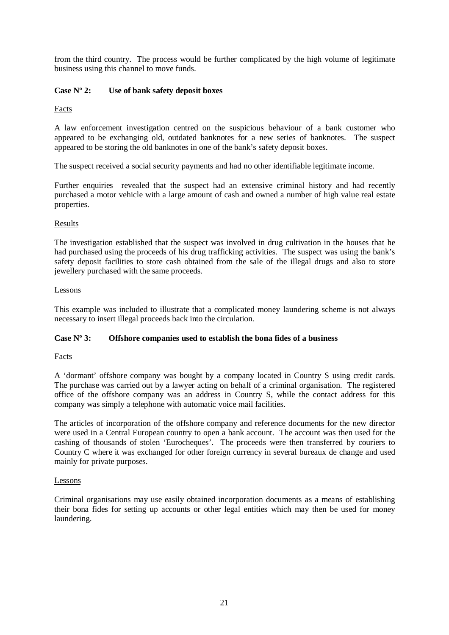from the third country. The process would be further complicated by the high volume of legitimate business using this channel to move funds.

## **Case Nº 2: Use of bank safety deposit boxes**

Facts

A law enforcement investigation centred on the suspicious behaviour of a bank customer who appeared to be exchanging old, outdated banknotes for a new series of banknotes. The suspect appeared to be storing the old banknotes in one of the bank's safety deposit boxes.

The suspect received a social security payments and had no other identifiable legitimate income.

Further enquiries revealed that the suspect had an extensive criminal history and had recently purchased a motor vehicle with a large amount of cash and owned a number of high value real estate properties.

#### Results

The investigation established that the suspect was involved in drug cultivation in the houses that he had purchased using the proceeds of his drug trafficking activities. The suspect was using the bank's safety deposit facilities to store cash obtained from the sale of the illegal drugs and also to store jewellery purchased with the same proceeds.

#### Lessons

This example was included to illustrate that a complicated money laundering scheme is not always necessary to insert illegal proceeds back into the circulation.

#### **Case Nº 3: Offshore companies used to establish the bona fides of a business**

Facts

A 'dormant' offshore company was bought by a company located in Country S using credit cards. The purchase was carried out by a lawyer acting on behalf of a criminal organisation. The registered office of the offshore company was an address in Country S, while the contact address for this company was simply a telephone with automatic voice mail facilities.

The articles of incorporation of the offshore company and reference documents for the new director were used in a Central European country to open a bank account. The account was then used for the cashing of thousands of stolen 'Eurocheques'. The proceeds were then transferred by couriers to Country C where it was exchanged for other foreign currency in several bureaux de change and used mainly for private purposes.

#### Lessons

Criminal organisations may use easily obtained incorporation documents as a means of establishing their bona fides for setting up accounts or other legal entities which may then be used for money laundering.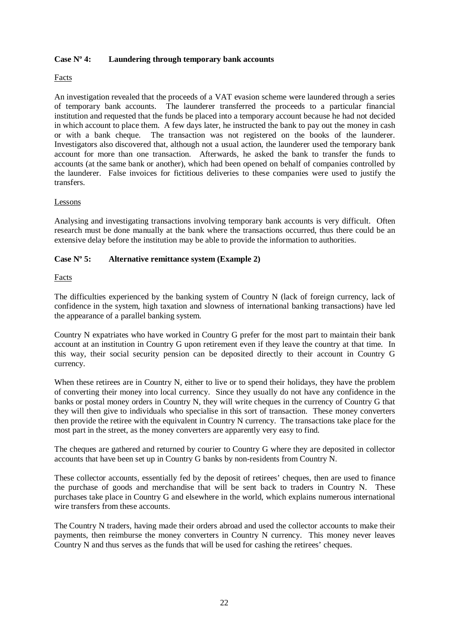#### **Case Nº 4: Laundering through temporary bank accounts**

### Facts

An investigation revealed that the proceeds of a VAT evasion scheme were laundered through a series of temporary bank accounts. The launderer transferred the proceeds to a particular financial institution and requested that the funds be placed into a temporary account because he had not decided in which account to place them. A few days later, he instructed the bank to pay out the money in cash or with a bank cheque. The transaction was not registered on the books of the launderer. Investigators also discovered that, although not a usual action, the launderer used the temporary bank account for more than one transaction. Afterwards, he asked the bank to transfer the funds to accounts (at the same bank or another), which had been opened on behalf of companies controlled by the launderer. False invoices for fictitious deliveries to these companies were used to justify the transfers.

#### Lessons

Analysing and investigating transactions involving temporary bank accounts is very difficult. Often research must be done manually at the bank where the transactions occurred, thus there could be an extensive delay before the institution may be able to provide the information to authorities.

## **Case Nº 5: Alternative remittance system (Example 2)**

## Facts

The difficulties experienced by the banking system of Country N (lack of foreign currency, lack of confidence in the system, high taxation and slowness of international banking transactions) have led the appearance of a parallel banking system.

Country N expatriates who have worked in Country G prefer for the most part to maintain their bank account at an institution in Country G upon retirement even if they leave the country at that time. In this way, their social security pension can be deposited directly to their account in Country G currency.

When these retirees are in Country N, either to live or to spend their holidays, they have the problem of converting their money into local currency. Since they usually do not have any confidence in the banks or postal money orders in Country N, they will write cheques in the currency of Country G that they will then give to individuals who specialise in this sort of transaction. These money converters then provide the retiree with the equivalent in Country N currency. The transactions take place for the most part in the street, as the money converters are apparently very easy to find.

The cheques are gathered and returned by courier to Country G where they are deposited in collector accounts that have been set up in Country G banks by non-residents from Country N.

These collector accounts, essentially fed by the deposit of retirees' cheques, then are used to finance the purchase of goods and merchandise that will be sent back to traders in Country N. These purchases take place in Country G and elsewhere in the world, which explains numerous international wire transfers from these accounts.

The Country N traders, having made their orders abroad and used the collector accounts to make their payments, then reimburse the money converters in Country N currency. This money never leaves Country N and thus serves as the funds that will be used for cashing the retirees' cheques.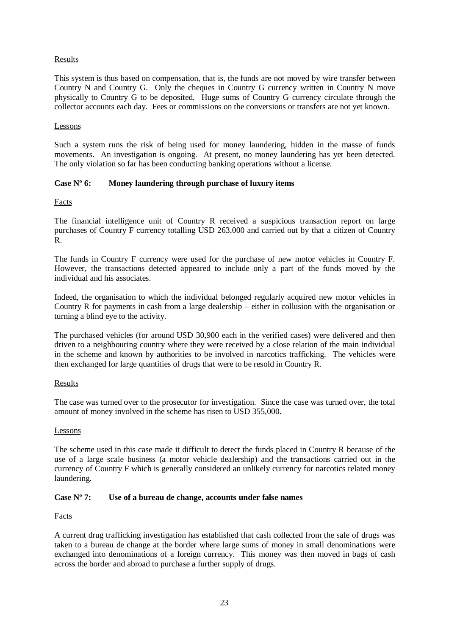## Results

This system is thus based on compensation, that is, the funds are not moved by wire transfer between Country N and Country G. Only the cheques in Country G currency written in Country N move physically to Country G to be deposited. Huge sums of Country G currency circulate through the collector accounts each day. Fees or commissions on the conversions or transfers are not yet known.

## Lessons

Such a system runs the risk of being used for money laundering, hidden in the masse of funds movements. An investigation is ongoing. At present, no money laundering has yet been detected. The only violation so far has been conducting banking operations without a license.

## **Case Nº 6: Money laundering through purchase of luxury items**

Facts

The financial intelligence unit of Country R received a suspicious transaction report on large purchases of Country F currency totalling USD 263,000 and carried out by that a citizen of Country R.

The funds in Country F currency were used for the purchase of new motor vehicles in Country F. However, the transactions detected appeared to include only a part of the funds moved by the individual and his associates.

Indeed, the organisation to which the individual belonged regularly acquired new motor vehicles in Country R for payments in cash from a large dealership – either in collusion with the organisation or turning a blind eye to the activity.

The purchased vehicles (for around USD 30,900 each in the verified cases) were delivered and then driven to a neighbouring country where they were received by a close relation of the main individual in the scheme and known by authorities to be involved in narcotics trafficking. The vehicles were then exchanged for large quantities of drugs that were to be resold in Country R.

## Results

The case was turned over to the prosecutor for investigation. Since the case was turned over, the total amount of money involved in the scheme has risen to USD 355,000.

## Lessons

The scheme used in this case made it difficult to detect the funds placed in Country R because of the use of a large scale business (a motor vehicle dealership) and the transactions carried out in the currency of Country F which is generally considered an unlikely currency for narcotics related money laundering.

## **Case Nº 7: Use of a bureau de change, accounts under false names**

#### Facts

A current drug trafficking investigation has established that cash collected from the sale of drugs was taken to a bureau de change at the border where large sums of money in small denominations were exchanged into denominations of a foreign currency. This money was then moved in bags of cash across the border and abroad to purchase a further supply of drugs.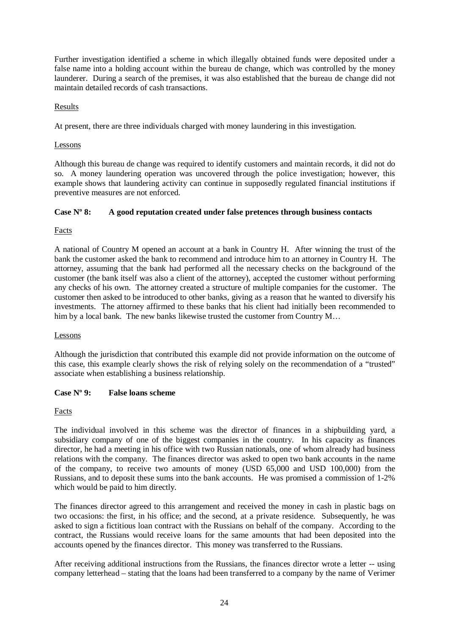Further investigation identified a scheme in which illegally obtained funds were deposited under a false name into a holding account within the bureau de change, which was controlled by the money launderer. During a search of the premises, it was also established that the bureau de change did not maintain detailed records of cash transactions.

#### Results

At present, there are three individuals charged with money laundering in this investigation.

#### Lessons

Although this bureau de change was required to identify customers and maintain records, it did not do so. A money laundering operation was uncovered through the police investigation; however, this example shows that laundering activity can continue in supposedly regulated financial institutions if preventive measures are not enforced.

#### **Case Nº 8: A good reputation created under false pretences through business contacts**

## Facts

A national of Country M opened an account at a bank in Country H. After winning the trust of the bank the customer asked the bank to recommend and introduce him to an attorney in Country H. The attorney, assuming that the bank had performed all the necessary checks on the background of the customer (the bank itself was also a client of the attorney), accepted the customer without performing any checks of his own. The attorney created a structure of multiple companies for the customer. The customer then asked to be introduced to other banks, giving as a reason that he wanted to diversify his investments. The attorney affirmed to these banks that his client had initially been recommended to him by a local bank. The new banks likewise trusted the customer from Country M...

#### Lessons

Although the jurisdiction that contributed this example did not provide information on the outcome of this case, this example clearly shows the risk of relying solely on the recommendation of a "trusted" associate when establishing a business relationship.

## **Case Nº 9: False loans scheme**

## Facts

The individual involved in this scheme was the director of finances in a shipbuilding yard, a subsidiary company of one of the biggest companies in the country. In his capacity as finances director, he had a meeting in his office with two Russian nationals, one of whom already had business relations with the company. The finances director was asked to open two bank accounts in the name of the company, to receive two amounts of money (USD 65,000 and USD 100,000) from the Russians, and to deposit these sums into the bank accounts. He was promised a commission of 1-2% which would be paid to him directly.

The finances director agreed to this arrangement and received the money in cash in plastic bags on two occasions: the first, in his office; and the second, at a private residence. Subsequently, he was asked to sign a fictitious loan contract with the Russians on behalf of the company. According to the contract, the Russians would receive loans for the same amounts that had been deposited into the accounts opened by the finances director. This money was transferred to the Russians.

After receiving additional instructions from the Russians, the finances director wrote a letter -- using company letterhead – stating that the loans had been transferred to a company by the name of Verimer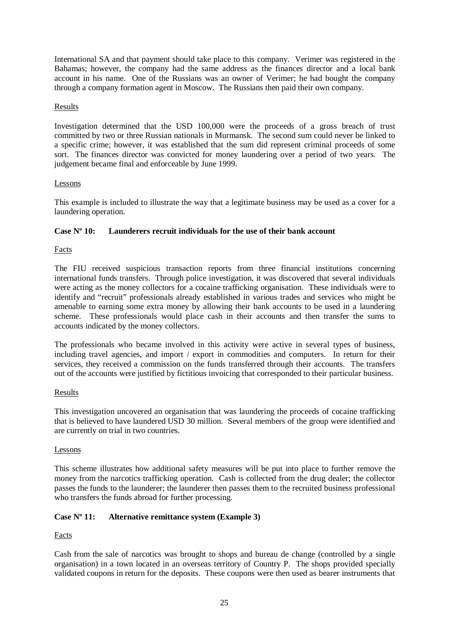International SA and that payment should take place to this company. Verimer was registered in the Bahamas; however, the company had the same address as the finances director and a local bank account in his name. One of the Russians was an owner of Verimer; he had bought the company through a company formation agent in Moscow. The Russians then paid their own company.

#### Results

Investigation determined that the USD 100,000 were the proceeds of a gross breach of trust committed by two or three Russian nationals in Murmansk. The second sum could never be linked to a specific crime; however, it was established that the sum did represent criminal proceeds of some sort. The finances director was convicted for money laundering over a period of two years. The judgement became final and enforceable by June 1999.

#### Lessons

This example is included to illustrate the way that a legitimate business may be used as a cover for a laundering operation.

#### **Case Nº 10: Launderers recruit individuals for the use of their bank account**

Facts

The FIU received suspicious transaction reports from three financial institutions concerning international funds transfers. Through police investigation, it was discovered that several individuals were acting as the money collectors for a cocaine trafficking organisation. These individuals were to identify and "recruit" professionals already established in various trades and services who might be amenable to earning some extra money by allowing their bank accounts to be used in a laundering scheme. These professionals would place cash in their accounts and then transfer the sums to accounts indicated by the money collectors.

The professionals who became involved in this activity were active in several types of business, including travel agencies, and import / export in commodities and computers. In return for their services, they received a commission on the funds transferred through their accounts. The transfers out of the accounts were justified by fictitious invoicing that corresponded to their particular business.

#### Results

This investigation uncovered an organisation that was laundering the proceeds of cocaine trafficking that is believed to have laundered USD 30 million. Several members of the group were identified and are currently on trial in two countries.

#### Lessons

This scheme illustrates how additional safety measures will be put into place to further remove the money from the narcotics trafficking operation. Cash is collected from the drug dealer; the collector passes the funds to the launderer; the launderer then passes them to the recruited business professional who transfers the funds abroad for further processing.

## **Case Nº 11: Alternative remittance system (Example 3)**

Facts

Cash from the sale of narcotics was brought to shops and bureau de change (controlled by a single organisation) in a town located in an overseas territory of Country P. The shops provided specially validated coupons in return for the deposits. These coupons were then used as bearer instruments that